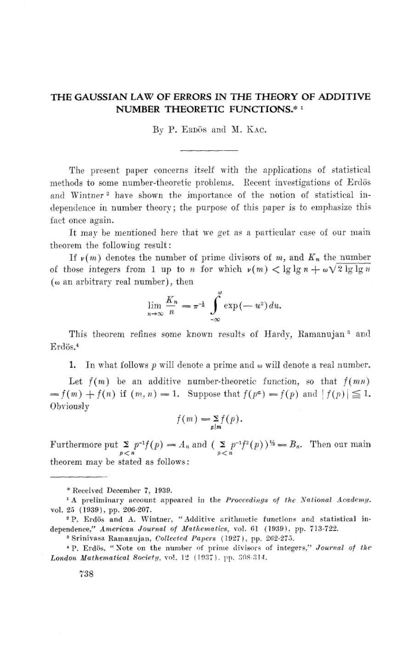## THE GAUSSIAN LAW OF ERRORS IN THE THEORY OF ADDITIVE NUMBER THEORETIC FUNCTIONS.\* 1

By P. ERDÖS and M. KAC.

The present paper concerns itself with the applications of statistical methods to some number-theoretic problems. Recent investigations of Erdös and Wintner<sup>2</sup> have shown the importance of the notion of statistical independence in number theory ; the purpose of this paper is to emphasize this fact once again.

It may be mentioned here that we get as a particular case of our main theorem the following result :

If  $\nu(m)$  denotes the number of prime divisors of m, and  $K_n$  the number of those integers from 1 up to *n* for which  $\nu(m) < \lg \lg n + \omega \sqrt{2 \lg \lg n}$ ( $\omega$  an arbitrary real number), then

$$
\lim_{n\to\infty}\frac{K_n}{n}=\pi^{-\frac{1}{2}}\int_{-\infty}^{\infty}\exp\left(-u^2\right)du.
$$

This theorem refines some known results of Hardy, Ramanujan<sup>3</sup> and Erdös.<sup>4</sup>

1. In what follows  $p$  will denote a prime and  $\omega$  will denote a real number.

Let  $f(m)$  be an additive number-theoretic function, so that  $f(mn)$  $=f(m)+f(n)$  if  $(m,n)=1$ . Suppose that  $f(p^a)=f(p)$  and  $|f(p)| \leq 1$ . **Obviously** 

$$
f(m) = \sum_{p|m} f(p).
$$

Furthermore put  $\sum_{p \le n} p^{-1}f(p) = A_n$  and  $\sum_{p \le n} p^{-1}f^2(p)$   $\psi = B_n$ . Then our main theorem may be stated as follows:

<sup>&</sup>quot;Received December 7. 1939.

<sup>&</sup>lt;sup>1</sup> A preliminary account appeared in the Proceedings of the National Academy. vol. 25 (1939), pp. 206-207.

<sup>&</sup>lt;sup>2</sup>P. Erdös and A. Wintner, "Additive arithmetic functions and statistical independence," American Journal of Mathematics. vol. 61 (1939). pp. 713-722.

<sup>&</sup>lt;sup>3</sup> Srinivasa Ramanujan, Collected Papers (1927), pp. 262-275.

<sup>\*</sup> P. Erdös, "Note on the number of prime divisors of integers," Journal of the London Mathematical Society, vol. 12 (1937). pp.  $308-314$ .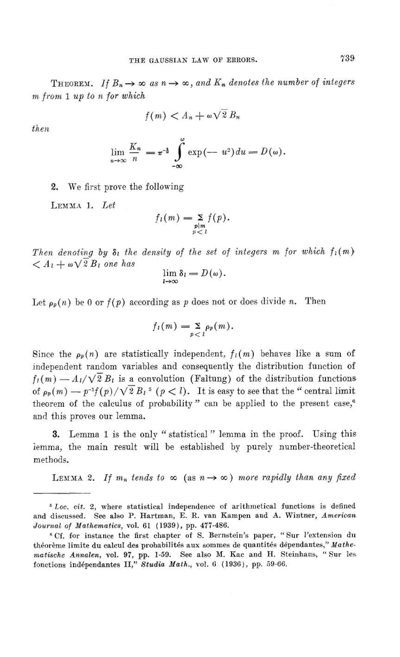THEOREM. If  $B_n \to \infty$  as  $n \to \infty$ , and  $K_n$  denotes the number of integers m from 1 up to n for which

$$
f(m) < A_n + \omega \sqrt{2} \, B_n
$$

then

$$
\lim_{n\to\infty}\frac{K_n}{n}=\pi^{-\frac{1}{2}}\int\limits_{-\infty}^{\omega}\exp\left(-u^2\right)du=D(\omega).
$$

2. We first prove the following

LEMMA 1. Let

$$
f_l(m) = \sum_{\substack{p|m\\p
$$

Then denoting by  $\delta_1$  the density of the set of integers m for which  $f_1(m)$  $\langle A_1+\omega\sqrt{2}B_1\$  one has

$$
\lim_{l\to\infty}\delta_l=D(\omega).
$$

Let  $\rho_p(n)$  be 0 or  $f(p)$  according as p does not or does divide n. Then

$$
f_i(m)=\sum_{p
$$

Since the  $\rho_p(n)$  are statistically independent,  $f_l(m)$  behaves like a sum of independent random variables and consequently the distribution function of  $f_l(m) = A_l/\sqrt{2} B_l$  is a convolution (Faltung) of the distribution functions of  $\rho_p(m) \longrightarrow p^{-1}f(p)/\sqrt{2}B_l^5$   $(p < l)$ . It is easy to see that the "central limit" theorem of the calculus of probability" can be applied to the present case,<sup>6</sup> and this proves our lemma.

3. Lemma 1 is the only " statistical " lemma in the proof. Using this iemma, the main result will be established by purely number-theoretical methods.

LEMMA 2. If  $m_n$  tends to  $\infty$  (as  $n \to \infty$ ) more rapidly than any fixed

 $5$  Loc. cit. 2, where statistical independence of arithmetical functions is defined and discussed. See also P. Hartman, E. R. van Kampen and A. Wintner, American Jozrmal of Mathematics, vol. 61 (1939), pp. 477-486.

<sup>8</sup> Cf. for instance the first chapter of S. Bernstein's paper, " Sur I'extension du théorème limite du calcul des probabilités aux sommes de quantités dépendantes," Mathematischc Annalen, vol. 97, pp. l-59. See also M. Kac and H. Steinhans, "Sur les fonctions indépendantes II," Studia Math., vol. 6 (1936), pp. 59-66.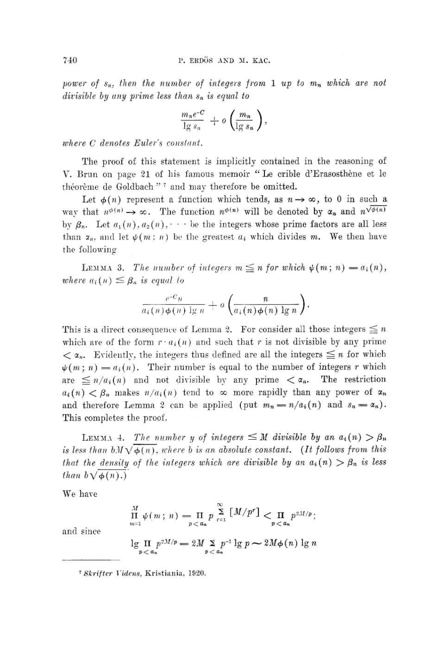power of  $s_n$ , then the number of integers from 1 up to  $m_n$  which are not divisible by any prime less than  $s_n$  is equal to

$$
\frac{m_n e^{-C}}{\lg s_n} + o\left(\frac{m_n}{\lg s_n}\right),\,
$$

where C denotes Euler's constant.

The proof of this statement is implicitly contained in the reasoning of V. Brun on page 21 of his famous memoir "Le crible d'Erasosthène et le théorème de Goldbach"<sup>7</sup> and may therefore be omitted.

Let  $\phi(n)$  represent a function which tends, as  $n \rightarrow \infty$ , to 0 in such a way that  $n^{\phi(n)} \to \infty$ . The function  $n^{\phi(n)}$  will be denoted by  $\alpha_n$  and  $n^{\sqrt{\phi(n)}}$ by  $\beta_n$ . Let  $a_1(n)$ ,  $a_2(n)$ ,  $\cdots$  be the integers whose prime factors are all less than  $x_n$ , and let  $\psi(m:n)$  be the greatest  $a_i$  which divides m. We then have the following

LEMMA 3. The number of integers  $m \leq n$  for which  $\psi(m; n) = a_i(n)$ , where  $a_i(n) \leq \beta_n$  is equal to

$$
\frac{e^{-C_H}}{a_i(n)\phi(n)\lg n}+o\left(\frac{n}{a_i(n)\phi(n)\lg n}\right).
$$

This is a direct consequence of Lemma 2. For consider all those integers  $\leq n$ which are of the form  $r \cdot a_i(n)$  and such that r is not divisible by any prime  $\langle \alpha_n, \rangle$  Evidently, the integers thus defined are all the integers  $\leq n$  for which  $\psi(m; n) = a_i(n)$ . Their number is equal to the number of integers r which are  $\leq n/a_i(n)$  and not divisible by any prime  $\lt \alpha_n$ . The restriction  $a_i(n) < \beta_n$  makes  $n/a_i(n)$  tend to  $\infty$  more rapidly than any power of  $a_n$ and therefore Lemma 2 can be applied (put  $m_n = n/a_i(n)$  and  $s_n = \alpha_n$ ). This completes the proof.

LEMMA 4. The number y of integers  $\leq M$  divisible by an  $a_i(n) > \beta_n$ is less than  $bM\sqrt{\phi(n)}$ , where b is an absolute constant. (It follows from this that the density of the integers which are divisible by an  $a_i(n) > \beta_n$  is less than  $b \sqrt{\phi(n)}$ .

We have

$$
\prod_{n=1}^{M} \psi(m; n) = \prod_{p < a_n} p \sum_{r=1}^{\infty} [M/p^r] < \prod_{p < a_n} p^{2M/p};
$$

and since

$$
\lg \prod_{p < a_n} p^{2M/p} = 2M \sum_{p < a_n} p^{-1} \lg p \sim 2M\phi(n) \lg n
$$

<sup>7</sup> Skrifter Videns, Kristiania, 1920.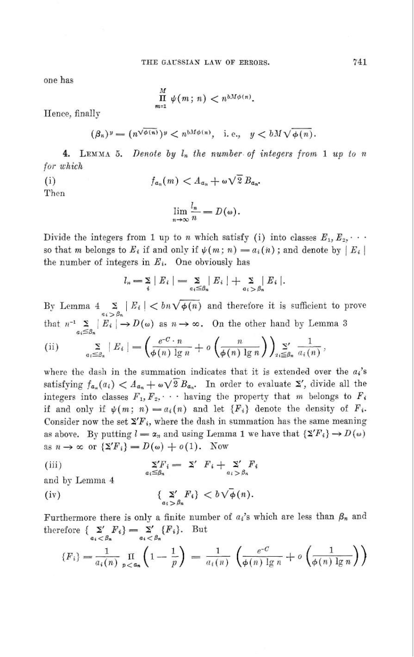one has

$$
\prod_{m=1}^M \psi(m\,;\,n) < n^{bM\phi(n)}.
$$

Hence, finally

$$
(\beta_n)^y = (n^{\sqrt{\phi(n)}})^y < n^{bM\phi(n)}, \quad \text{i. e.,} \quad y < bM\sqrt{\phi(n)}.
$$

4. LEMMA 5. Denote by  $l_n$  the number of integers from 1 up to n for which  $f_{a_n}(m) < A_{a_n} + \omega \sqrt{2} B_{a_n}.$ 

 $(i)$ Then

$$
\lim_{n\to\infty}\frac{l_n}{n}=D(\omega).
$$

Divide the integers from 1 up to *n* which satisfy (i) into classes  $E_1, E_2, \cdots$ so that m belongs to  $E_i$  if and only if  $\psi(m; n) = a_i(n)$ ; and denote by  $|E_i|$ the number of integers in  $E_i$ . One obviously has

$$
l_n = \sum_i |E_i| = \sum_{a_i \leq \beta_n} |E_i| + \sum_{a_i > \beta_n} |E_i|.
$$

By Lemma  $4 \sum_{a_i > \beta_n} |E_i| < b_n \sqrt{\phi(n)}$  and therefore it is sufficient to prove that  $n^{-1} \sum_{\alpha_i \leq \beta_n} |E_i| \to D(\omega)$  as  $n \to \infty$ . On the other hand by Lemma 3

(ii) 
$$
\sum_{a_i \leq \beta_n} |E_i| = \left( \frac{e^{-C} \cdot n}{\phi(n) \lg n} + o \left( \frac{n}{\phi(n) \lg n} \right) \right)_{n \leq \beta_n} \frac{1}{a_i(n)},
$$

where the dash in the summation indicates that it is extended over the  $a_i$ 's satisfying  $f_{a_n}(a_i) < A_{a_n} + \omega \sqrt{2} B_{a_n}$ . In order to evaluate  $\Sigma'$ , divide all the integers into classes  $F_1, F_2, \cdots$  having the property that m belongs to  $F_i$ if and only if  $\psi(m; n) = a_i(n)$  and let  $\{F_i\}$  denote the density of  $F_i$ . Consider now the set  $\Sigma F_i$ , where the dash in summation has the same meaning as above. By putting  $l = \alpha_n$  and using Lemma 1 we have that  $\{S'F_i\} \to D(\omega)$ as  $n \to \infty$  or  $\{\Sigma' F_i\} = D(\omega) + o(1)$ . Now

(iii) 
$$
\sum_{a_i \leq \beta_n} Y_i = \sum' F_i + \sum_{a_i > \beta_n} F_i
$$

and by Lemma 4

(iv) 
$$
\{\sum_{a_i > \beta_n} F_i\} < b\sqrt{\phi}(n).
$$

Furthermore there is only a finite number of  $a_i$ 's which are less than  $\beta_n$  and therefore  $\{\sum_{a_i < \beta_n} F_i\} = \sum_{a_i < \beta_n} \{F_i\}.$  But

$$
\{F_i\} = \frac{1}{a_i(n)} \prod_{p < a_n} \left(1 - \frac{1}{p}\right) = \frac{1}{a_i(n)} \left(\frac{e^{-C}}{\phi(n) \lg n} + o\left(\frac{1}{\phi(n) \lg n}\right)\right)
$$